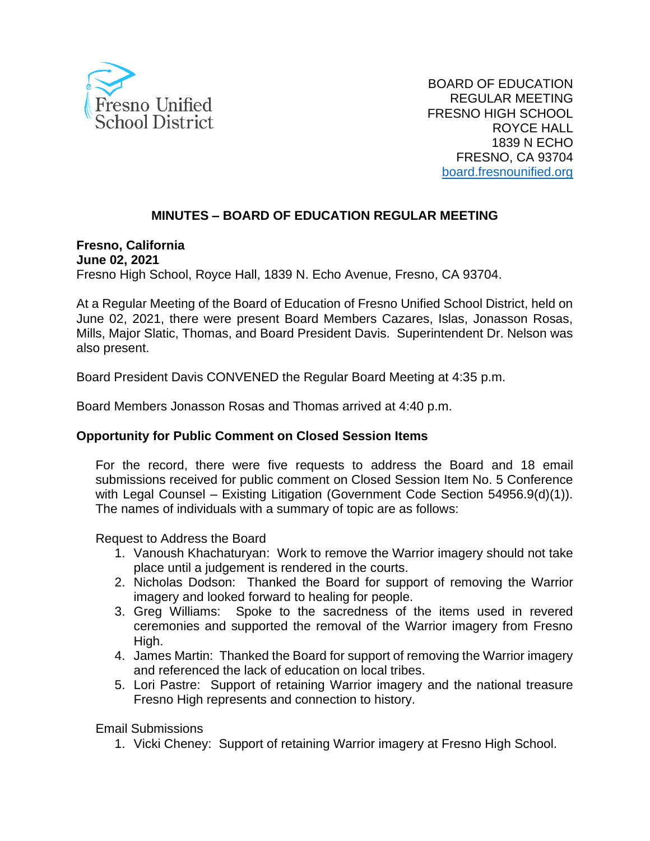

BOARD OF EDUCATION REGULAR MEETING FRESNO HIGH SCHOOL ROYCE HALL 1839 N ECHO FRESNO, CA 93704 [board.fresnounified.org](https://board.fresnounified.org/)

# **MINUTES – BOARD OF EDUCATION REGULAR MEETING**

**Fresno, California June 02, 2021** Fresno High School, Royce Hall, 1839 N. Echo Avenue, Fresno, CA 93704.

At a Regular Meeting of the Board of Education of Fresno Unified School District, held on June 02, 2021, there were present Board Members Cazares, Islas, Jonasson Rosas, Mills, Major Slatic, Thomas, and Board President Davis. Superintendent Dr. Nelson was also present.

Board President Davis CONVENED the Regular Board Meeting at 4:35 p.m.

Board Members Jonasson Rosas and Thomas arrived at 4:40 p.m.

## **Opportunity for Public Comment on Closed Session Items**

For the record, there were five requests to address the Board and 18 email submissions received for public comment on Closed Session Item No. 5 Conference with Legal Counsel – Existing Litigation (Government Code Section 54956.9(d)(1)). The names of individuals with a summary of topic are as follows:

Request to Address the Board

- 1. Vanoush Khachaturyan: Work to remove the Warrior imagery should not take place until a judgement is rendered in the courts.
- 2. Nicholas Dodson: Thanked the Board for support of removing the Warrior imagery and looked forward to healing for people.
- 3. Greg Williams: Spoke to the sacredness of the items used in revered ceremonies and supported the removal of the Warrior imagery from Fresno High.
- 4. James Martin: Thanked the Board for support of removing the Warrior imagery and referenced the lack of education on local tribes.
- 5. Lori Pastre: Support of retaining Warrior imagery and the national treasure Fresno High represents and connection to history.

Email Submissions

1. Vicki Cheney: Support of retaining Warrior imagery at Fresno High School.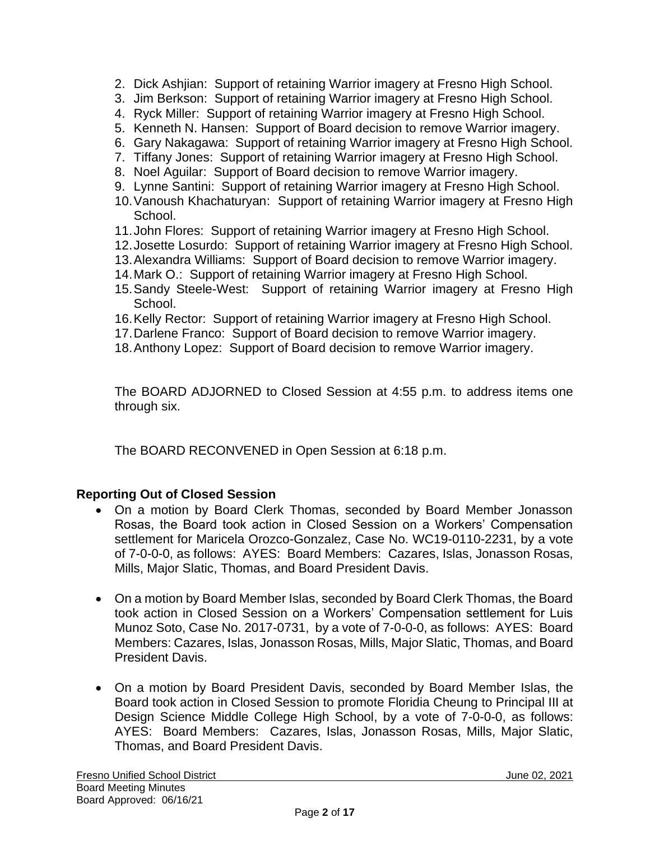- 2. Dick Ashjian: Support of retaining Warrior imagery at Fresno High School.
- 3. Jim Berkson: Support of retaining Warrior imagery at Fresno High School.
- 4. Ryck Miller: Support of retaining Warrior imagery at Fresno High School.
- 5. Kenneth N. Hansen: Support of Board decision to remove Warrior imagery.
- 6. Gary Nakagawa: Support of retaining Warrior imagery at Fresno High School.
- 7. Tiffany Jones: Support of retaining Warrior imagery at Fresno High School.
- 8. Noel Aguilar: Support of Board decision to remove Warrior imagery.
- 9. Lynne Santini: Support of retaining Warrior imagery at Fresno High School.
- 10.Vanoush Khachaturyan: Support of retaining Warrior imagery at Fresno High School.
- 11.John Flores: Support of retaining Warrior imagery at Fresno High School.
- 12.Josette Losurdo: Support of retaining Warrior imagery at Fresno High School.
- 13.Alexandra Williams: Support of Board decision to remove Warrior imagery.
- 14.Mark O.: Support of retaining Warrior imagery at Fresno High School.
- 15.Sandy Steele-West: Support of retaining Warrior imagery at Fresno High School.
- 16.Kelly Rector: Support of retaining Warrior imagery at Fresno High School.
- 17.Darlene Franco: Support of Board decision to remove Warrior imagery.
- 18.Anthony Lopez: Support of Board decision to remove Warrior imagery.

The BOARD ADJORNED to Closed Session at 4:55 p.m. to address items one through six.

The BOARD RECONVENED in Open Session at 6:18 p.m.

## **Reporting Out of Closed Session**

- On a motion by Board Clerk Thomas, seconded by Board Member Jonasson Rosas, the Board took action in Closed Session on a Workers' Compensation settlement for Maricela Orozco-Gonzalez, Case No. WC19-0110-2231, by a vote of 7-0-0-0, as follows: AYES: Board Members: Cazares, Islas, Jonasson Rosas, Mills, Major Slatic, Thomas, and Board President Davis.
- On a motion by Board Member Islas, seconded by Board Clerk Thomas, the Board took action in Closed Session on a Workers' Compensation settlement for Luis Munoz Soto, Case No. 2017-0731, by a vote of 7-0-0-0, as follows: AYES: Board Members: Cazares, Islas, Jonasson Rosas, Mills, Major Slatic, Thomas, and Board President Davis.
- On a motion by Board President Davis, seconded by Board Member Islas, the Board took action in Closed Session to promote Floridia Cheung to Principal III at Design Science Middle College High School, by a vote of 7-0-0-0, as follows: AYES: Board Members: Cazares, Islas, Jonasson Rosas, Mills, Major Slatic, Thomas, and Board President Davis.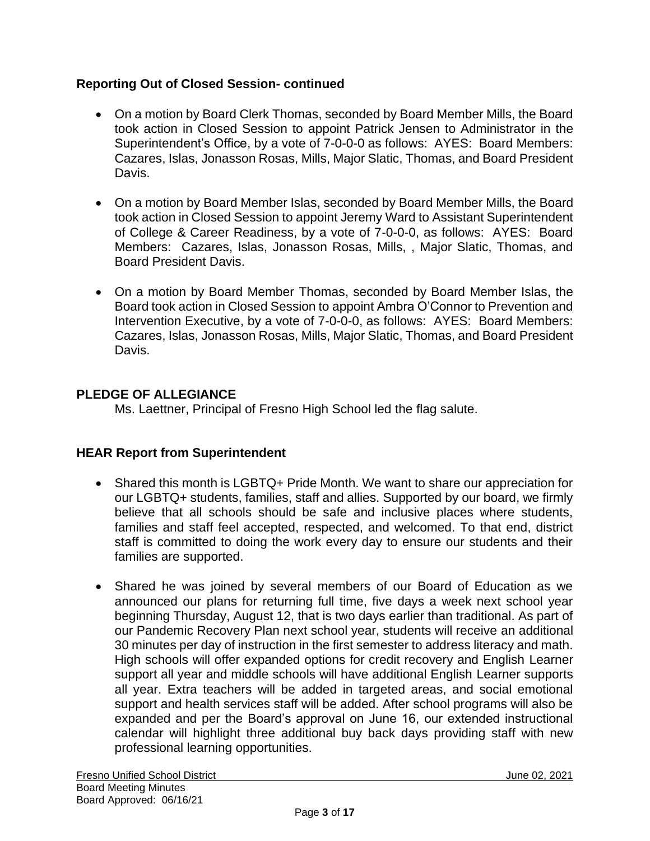## **Reporting Out of Closed Session- continued**

- On a motion by Board Clerk Thomas, seconded by Board Member Mills, the Board took action in Closed Session to appoint Patrick Jensen to Administrator in the Superintendent's Office, by a vote of 7-0-0-0 as follows: AYES: Board Members: Cazares, Islas, Jonasson Rosas, Mills, Major Slatic, Thomas, and Board President Davis.
- On a motion by Board Member Islas, seconded by Board Member Mills, the Board took action in Closed Session to appoint Jeremy Ward to Assistant Superintendent of College & Career Readiness, by a vote of 7-0-0-0, as follows: AYES: Board Members: Cazares, Islas, Jonasson Rosas, Mills, , Major Slatic, Thomas, and Board President Davis.
- On a motion by Board Member Thomas, seconded by Board Member Islas, the Board took action in Closed Session to appoint Ambra O'Connor to Prevention and Intervention Executive, by a vote of 7-0-0-0, as follows: AYES: Board Members: Cazares, Islas, Jonasson Rosas, Mills, Major Slatic, Thomas, and Board President Davis.

# **PLEDGE OF ALLEGIANCE**

Ms. Laettner, Principal of Fresno High School led the flag salute.

## **HEAR Report from Superintendent**

- Shared this month is LGBTQ+ Pride Month. We want to share our appreciation for our LGBTQ+ students, families, staff and allies. Supported by our board, we firmly believe that all schools should be safe and inclusive places where students, families and staff feel accepted, respected, and welcomed. To that end, district staff is committed to doing the work every day to ensure our students and their families are supported.
- Shared he was joined by several members of our Board of Education as we announced our plans for returning full time, five days a week next school year beginning Thursday, August 12, that is two days earlier than traditional. As part of our Pandemic Recovery Plan next school year, students will receive an additional 30 minutes per day of instruction in the first semester to address literacy and math. High schools will offer expanded options for credit recovery and English Learner support all year and middle schools will have additional English Learner supports all year. Extra teachers will be added in targeted areas, and social emotional support and health services staff will be added. After school programs will also be expanded and per the Board's approval on June 16, our extended instructional calendar will highlight three additional buy back days providing staff with new professional learning opportunities.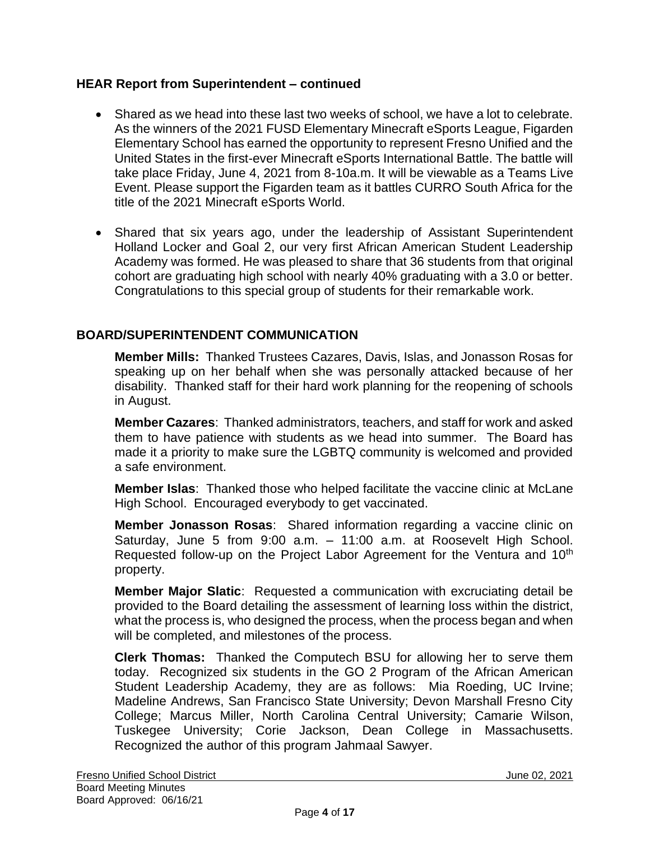## **HEAR Report from Superintendent – continued**

- Shared as we head into these last two weeks of school, we have a lot to celebrate. As the winners of the 2021 FUSD Elementary Minecraft eSports League, Figarden Elementary School has earned the opportunity to represent Fresno Unified and the United States in the first-ever Minecraft eSports International Battle. The battle will take place Friday, June 4, 2021 from 8-10a.m. It will be viewable as a Teams Live Event. Please support the Figarden team as it battles CURRO South Africa for the title of the 2021 Minecraft eSports World.
- Shared that six years ago, under the leadership of Assistant Superintendent Holland Locker and Goal 2, our very first African American Student Leadership Academy was formed. He was pleased to share that 36 students from that original cohort are graduating high school with nearly 40% graduating with a 3.0 or better. Congratulations to this special group of students for their remarkable work.

## **BOARD/SUPERINTENDENT COMMUNICATION**

**Member Mills:** Thanked Trustees Cazares, Davis, Islas, and Jonasson Rosas for speaking up on her behalf when she was personally attacked because of her disability. Thanked staff for their hard work planning for the reopening of schools in August.

**Member Cazares**: Thanked administrators, teachers, and staff for work and asked them to have patience with students as we head into summer. The Board has made it a priority to make sure the LGBTQ community is welcomed and provided a safe environment.

**Member Islas**: Thanked those who helped facilitate the vaccine clinic at McLane High School. Encouraged everybody to get vaccinated.

**Member Jonasson Rosas**: Shared information regarding a vaccine clinic on Saturday, June 5 from 9:00 a.m. – 11:00 a.m. at Roosevelt High School. Requested follow-up on the Project Labor Agreement for the Ventura and 10<sup>th</sup> property.

**Member Major Slatic**: Requested a communication with excruciating detail be provided to the Board detailing the assessment of learning loss within the district, what the process is, who designed the process, when the process began and when will be completed, and milestones of the process.

**Clerk Thomas:** Thanked the Computech BSU for allowing her to serve them today. Recognized six students in the GO 2 Program of the African American Student Leadership Academy, they are as follows: Mia Roeding, UC Irvine; Madeline Andrews, San Francisco State University; Devon Marshall Fresno City College; Marcus Miller, North Carolina Central University; Camarie Wilson, Tuskegee University; Corie Jackson, Dean College in Massachusetts. Recognized the author of this program Jahmaal Sawyer.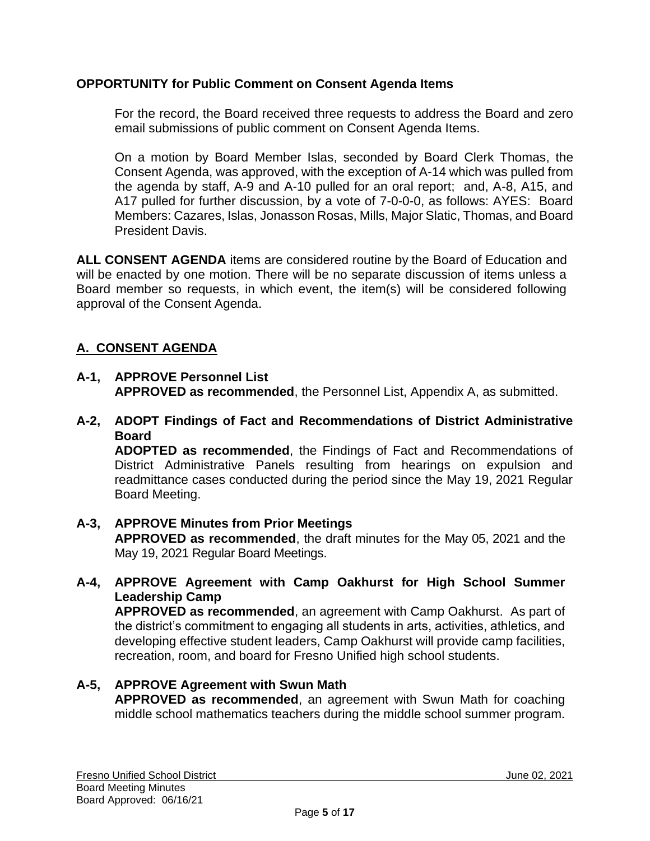## **OPPORTUNITY for Public Comment on Consent Agenda Items**

For the record, the Board received three requests to address the Board and zero email submissions of public comment on Consent Agenda Items.

On a motion by Board Member Islas, seconded by Board Clerk Thomas, the Consent Agenda, was approved, with the exception of A-14 which was pulled from the agenda by staff, A-9 and A-10 pulled for an oral report; and, A-8, A15, and A17 pulled for further discussion, by a vote of 7-0-0-0, as follows: AYES: Board Members: Cazares, Islas, Jonasson Rosas, Mills, Major Slatic, Thomas, and Board President Davis.

**ALL CONSENT AGENDA** items are considered routine by the Board of Education and will be enacted by one motion. There will be no separate discussion of items unless a Board member so requests, in which event, the item(s) will be considered following approval of the Consent Agenda.

# **A. CONSENT AGENDA**

- **A-1, APPROVE Personnel List APPROVED as recommended**, the Personnel List, Appendix A, as submitted.
- **A-2, ADOPT Findings of Fact and Recommendations of District Administrative Board**

**ADOPTED as recommended**, the Findings of Fact and Recommendations of District Administrative Panels resulting from hearings on expulsion and readmittance cases conducted during the period since the May 19, 2021 Regular Board Meeting.

- **A-3, APPROVE Minutes from Prior Meetings APPROVED as recommended**, the draft minutes for the May 05, 2021 and the May 19, 2021 Regular Board Meetings.
- **A-4, APPROVE Agreement with Camp Oakhurst for High School Summer Leadership Camp**

**APPROVED as recommended**, an agreement with Camp Oakhurst. As part of the district's commitment to engaging all students in arts, activities, athletics, and developing effective student leaders, Camp Oakhurst will provide camp facilities, recreation, room, and board for Fresno Unified high school students.

## **A-5, APPROVE Agreement with Swun Math**

**APPROVED as recommended**, an agreement with Swun Math for coaching middle school mathematics teachers during the middle school summer program.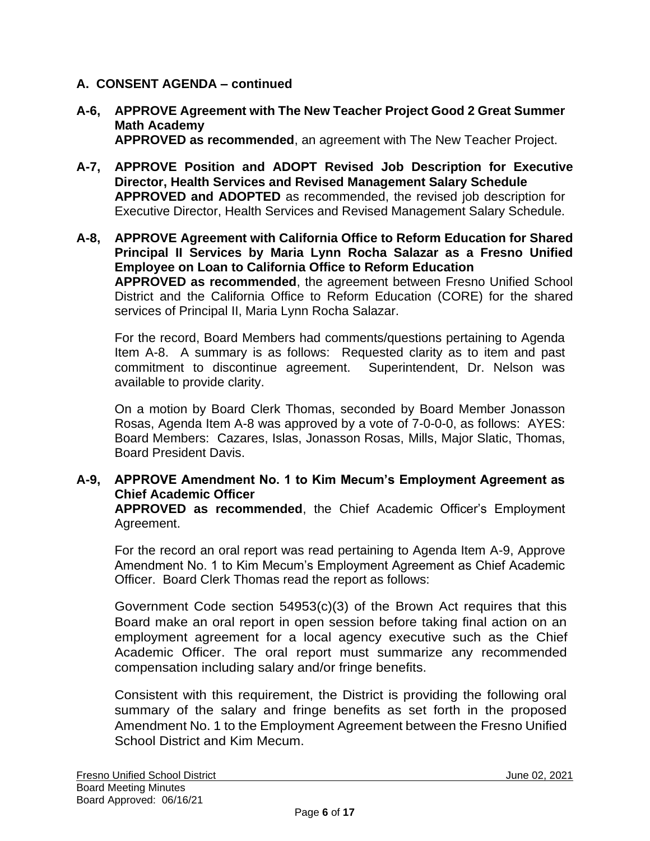- **A-6, APPROVE Agreement with The New Teacher Project Good 2 Great Summer Math Academy APPROVED as recommended**, an agreement with The New Teacher Project.
- **A-7, APPROVE Position and ADOPT Revised Job Description for Executive Director, Health Services and Revised Management Salary Schedule APPROVED and ADOPTED** as recommended, the revised job description for Executive Director, Health Services and Revised Management Salary Schedule.
- **A-8, APPROVE Agreement with California Office to Reform Education for Shared Principal II Services by Maria Lynn Rocha Salazar as a Fresno Unified Employee on Loan to California Office to Reform Education APPROVED as recommended**, the agreement between Fresno Unified School District and the California Office to Reform Education (CORE) for the shared services of Principal II, Maria Lynn Rocha Salazar.

For the record, Board Members had comments/questions pertaining to Agenda Item A-8. A summary is as follows: Requested clarity as to item and past commitment to discontinue agreement. Superintendent, Dr. Nelson was available to provide clarity.

On a motion by Board Clerk Thomas, seconded by Board Member Jonasson Rosas, Agenda Item A-8 was approved by a vote of 7-0-0-0, as follows: AYES: Board Members: Cazares, Islas, Jonasson Rosas, Mills, Major Slatic, Thomas, Board President Davis.

## **A-9, APPROVE Amendment No. 1 to Kim Mecum's Employment Agreement as Chief Academic Officer**

**APPROVED as recommended**, the Chief Academic Officer's Employment Agreement.

For the record an oral report was read pertaining to Agenda Item A-9, Approve Amendment No. 1 to Kim Mecum's Employment Agreement as Chief Academic Officer. Board Clerk Thomas read the report as follows:

Government Code section 54953(c)(3) of the Brown Act requires that this Board make an oral report in open session before taking final action on an employment agreement for a local agency executive such as the Chief Academic Officer. The oral report must summarize any recommended compensation including salary and/or fringe benefits.

Consistent with this requirement, the District is providing the following oral summary of the salary and fringe benefits as set forth in the proposed Amendment No. 1 to the Employment Agreement between the Fresno Unified School District and Kim Mecum.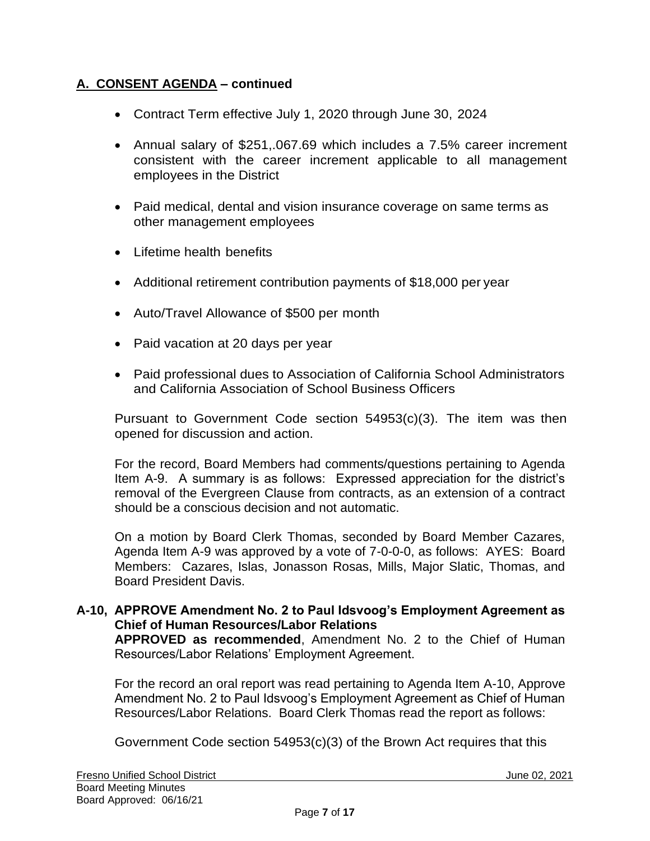- Contract Term effective July 1, 2020 through June 30, 2024
- Annual salary of \$251,.067.69 which includes a 7.5% career increment consistent with the career increment applicable to all management employees in the District
- Paid medical, dental and vision insurance coverage on same terms as other management employees
- Lifetime health benefits
- Additional retirement contribution payments of \$18,000 per year
- Auto/Travel Allowance of \$500 per month
- Paid vacation at 20 days per year
- Paid professional dues to Association of California School Administrators and California Association of School Business Officers

Pursuant to Government Code section 54953(c)(3). The item was then opened for discussion and action.

For the record, Board Members had comments/questions pertaining to Agenda Item A-9. A summary is as follows: Expressed appreciation for the district's removal of the Evergreen Clause from contracts, as an extension of a contract should be a conscious decision and not automatic.

On a motion by Board Clerk Thomas, seconded by Board Member Cazares, Agenda Item A-9 was approved by a vote of 7-0-0-0, as follows: AYES: Board Members: Cazares, Islas, Jonasson Rosas, Mills, Major Slatic, Thomas, and Board President Davis.

# **A-10, APPROVE Amendment No. 2 to Paul Idsvoog's Employment Agreement as Chief of Human Resources/Labor Relations**

**APPROVED as recommended**, Amendment No. 2 to the Chief of Human Resources/Labor Relations' Employment Agreement.

For the record an oral report was read pertaining to Agenda Item A-10, Approve Amendment No. 2 to Paul Idsvoog's Employment Agreement as Chief of Human Resources/Labor Relations. Board Clerk Thomas read the report as follows:

Government Code section 54953(c)(3) of the Brown Act requires that this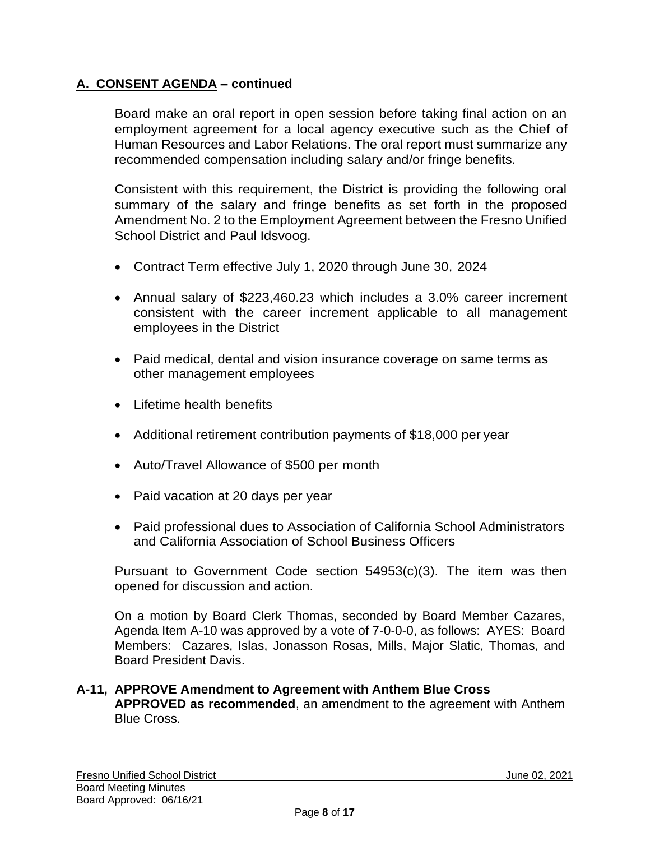Board make an oral report in open session before taking final action on an employment agreement for a local agency executive such as the Chief of Human Resources and Labor Relations. The oral report must summarize any recommended compensation including salary and/or fringe benefits.

Consistent with this requirement, the District is providing the following oral summary of the salary and fringe benefits as set forth in the proposed Amendment No. 2 to the Employment Agreement between the Fresno Unified School District and Paul Idsvoog.

- Contract Term effective July 1, 2020 through June 30, 2024
- Annual salary of \$223,460.23 which includes a 3.0% career increment consistent with the career increment applicable to all management employees in the District
- Paid medical, dental and vision insurance coverage on same terms as other management employees
- Lifetime health benefits
- Additional retirement contribution payments of \$18,000 per year
- Auto/Travel Allowance of \$500 per month
- Paid vacation at 20 days per year
- Paid professional dues to Association of California School Administrators and California Association of School Business Officers

Pursuant to Government Code section 54953(c)(3). The item was then opened for discussion and action.

On a motion by Board Clerk Thomas, seconded by Board Member Cazares, Agenda Item A-10 was approved by a vote of 7-0-0-0, as follows: AYES: Board Members: Cazares, Islas, Jonasson Rosas, Mills, Major Slatic, Thomas, and Board President Davis.

## **A-11, APPROVE Amendment to Agreement with Anthem Blue Cross APPROVED as recommended**, an amendment to the agreement with Anthem Blue Cross.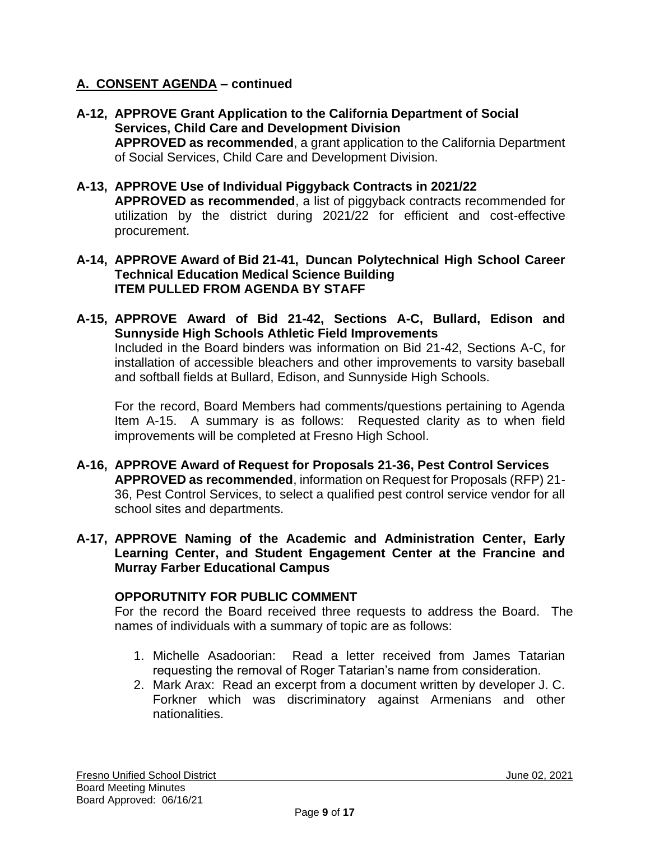- **A-12, APPROVE Grant Application to the California Department of Social Services, Child Care and Development Division APPROVED as recommended**, a grant application to the California Department of Social Services, Child Care and Development Division.
- **A-13, APPROVE Use of Individual Piggyback Contracts in 2021/22 APPROVED as recommended**, a list of piggyback contracts recommended for utilization by the district during 2021/22 for efficient and cost-effective procurement.
- **A-14, APPROVE Award of Bid 21-41, Duncan Polytechnical High School Career Technical Education Medical Science Building ITEM PULLED FROM AGENDA BY STAFF**
- **A-15, APPROVE Award of Bid 21-42, Sections A-C, Bullard, Edison and Sunnyside High Schools Athletic Field Improvements**

Included in the Board binders was information on Bid 21-42, Sections A-C, for installation of accessible bleachers and other improvements to varsity baseball and softball fields at Bullard, Edison, and Sunnyside High Schools.

For the record, Board Members had comments/questions pertaining to Agenda Item A-15. A summary is as follows: Requested clarity as to when field improvements will be completed at Fresno High School.

- **A-16, APPROVE Award of Request for Proposals 21-36, Pest Control Services APPROVED as recommended**, information on Request for Proposals (RFP) 21- 36, Pest Control Services, to select a qualified pest control service vendor for all school sites and departments.
- **A-17, APPROVE Naming of the Academic and Administration Center, Early Learning Center, and Student Engagement Center at the Francine and Murray Farber Educational Campus**

## **OPPORUTNITY FOR PUBLIC COMMENT**

For the record the Board received three requests to address the Board. The names of individuals with a summary of topic are as follows:

- 1. Michelle Asadoorian: Read a letter received from James Tatarian requesting the removal of Roger Tatarian's name from consideration.
- 2. Mark Arax: Read an excerpt from a document written by developer J. C. Forkner which was discriminatory against Armenians and other nationalities.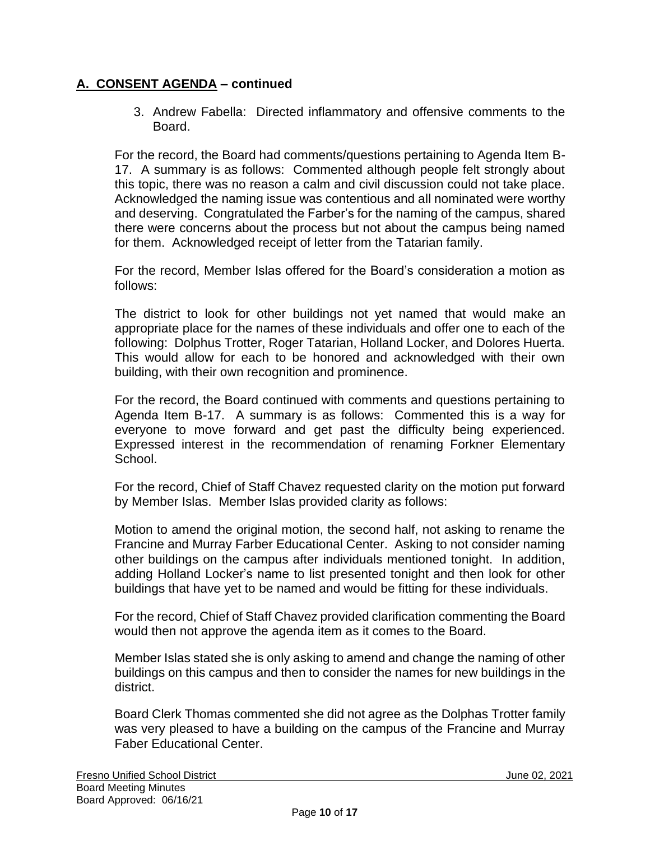3. Andrew Fabella: Directed inflammatory and offensive comments to the Board.

For the record, the Board had comments/questions pertaining to Agenda Item B-17. A summary is as follows: Commented although people felt strongly about this topic, there was no reason a calm and civil discussion could not take place. Acknowledged the naming issue was contentious and all nominated were worthy and deserving. Congratulated the Farber's for the naming of the campus, shared there were concerns about the process but not about the campus being named for them. Acknowledged receipt of letter from the Tatarian family.

For the record, Member Islas offered for the Board's consideration a motion as follows:

The district to look for other buildings not yet named that would make an appropriate place for the names of these individuals and offer one to each of the following: Dolphus Trotter, Roger Tatarian, Holland Locker, and Dolores Huerta. This would allow for each to be honored and acknowledged with their own building, with their own recognition and prominence.

For the record, the Board continued with comments and questions pertaining to Agenda Item B-17. A summary is as follows: Commented this is a way for everyone to move forward and get past the difficulty being experienced. Expressed interest in the recommendation of renaming Forkner Elementary School.

For the record, Chief of Staff Chavez requested clarity on the motion put forward by Member Islas. Member Islas provided clarity as follows:

Motion to amend the original motion, the second half, not asking to rename the Francine and Murray Farber Educational Center. Asking to not consider naming other buildings on the campus after individuals mentioned tonight. In addition, adding Holland Locker's name to list presented tonight and then look for other buildings that have yet to be named and would be fitting for these individuals.

For the record, Chief of Staff Chavez provided clarification commenting the Board would then not approve the agenda item as it comes to the Board.

Member Islas stated she is only asking to amend and change the naming of other buildings on this campus and then to consider the names for new buildings in the district.

Board Clerk Thomas commented she did not agree as the Dolphas Trotter family was very pleased to have a building on the campus of the Francine and Murray Faber Educational Center.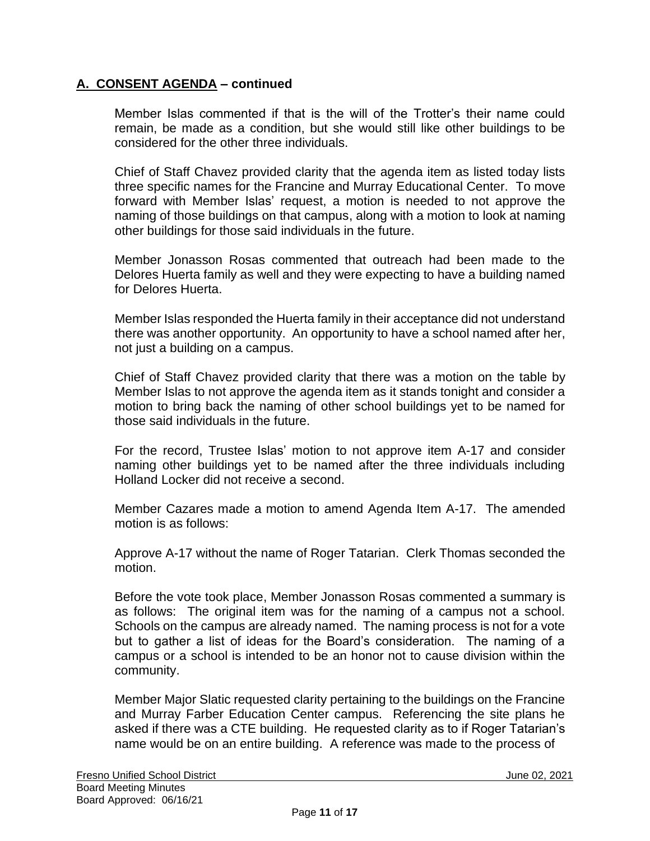Member Islas commented if that is the will of the Trotter's their name could remain, be made as a condition, but she would still like other buildings to be considered for the other three individuals.

Chief of Staff Chavez provided clarity that the agenda item as listed today lists three specific names for the Francine and Murray Educational Center. To move forward with Member Islas' request, a motion is needed to not approve the naming of those buildings on that campus, along with a motion to look at naming other buildings for those said individuals in the future.

Member Jonasson Rosas commented that outreach had been made to the Delores Huerta family as well and they were expecting to have a building named for Delores Huerta.

Member Islas responded the Huerta family in their acceptance did not understand there was another opportunity. An opportunity to have a school named after her, not just a building on a campus.

Chief of Staff Chavez provided clarity that there was a motion on the table by Member Islas to not approve the agenda item as it stands tonight and consider a motion to bring back the naming of other school buildings yet to be named for those said individuals in the future.

For the record, Trustee Islas' motion to not approve item A-17 and consider naming other buildings yet to be named after the three individuals including Holland Locker did not receive a second.

Member Cazares made a motion to amend Agenda Item A-17. The amended motion is as follows:

Approve A-17 without the name of Roger Tatarian. Clerk Thomas seconded the motion.

Before the vote took place, Member Jonasson Rosas commented a summary is as follows: The original item was for the naming of a campus not a school. Schools on the campus are already named. The naming process is not for a vote but to gather a list of ideas for the Board's consideration. The naming of a campus or a school is intended to be an honor not to cause division within the community.

Member Major Slatic requested clarity pertaining to the buildings on the Francine and Murray Farber Education Center campus. Referencing the site plans he asked if there was a CTE building. He requested clarity as to if Roger Tatarian's name would be on an entire building. A reference was made to the process of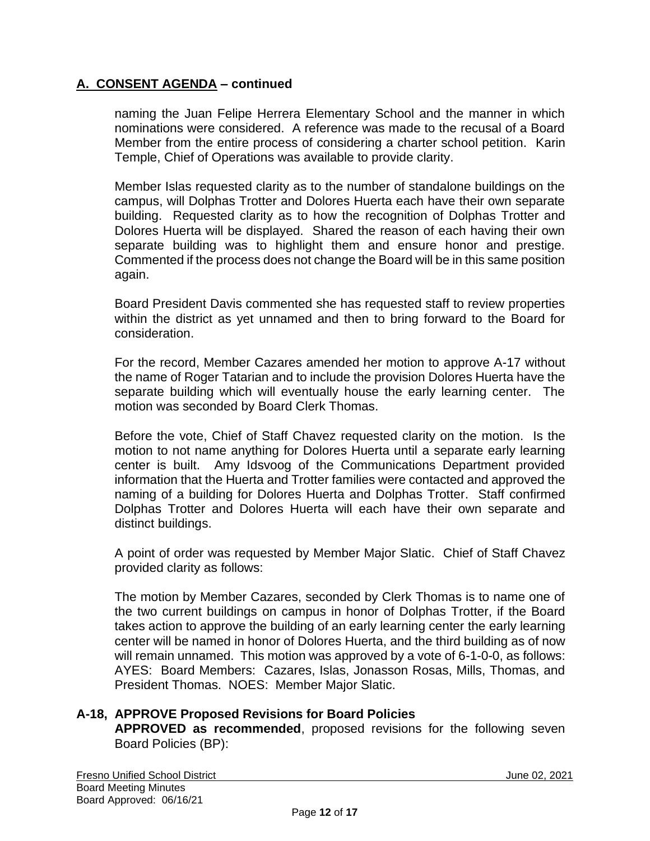naming the Juan Felipe Herrera Elementary School and the manner in which nominations were considered. A reference was made to the recusal of a Board Member from the entire process of considering a charter school petition. Karin Temple, Chief of Operations was available to provide clarity.

Member Islas requested clarity as to the number of standalone buildings on the campus, will Dolphas Trotter and Dolores Huerta each have their own separate building. Requested clarity as to how the recognition of Dolphas Trotter and Dolores Huerta will be displayed. Shared the reason of each having their own separate building was to highlight them and ensure honor and prestige. Commented if the process does not change the Board will be in this same position again.

Board President Davis commented she has requested staff to review properties within the district as yet unnamed and then to bring forward to the Board for consideration.

For the record, Member Cazares amended her motion to approve A-17 without the name of Roger Tatarian and to include the provision Dolores Huerta have the separate building which will eventually house the early learning center. The motion was seconded by Board Clerk Thomas.

Before the vote, Chief of Staff Chavez requested clarity on the motion. Is the motion to not name anything for Dolores Huerta until a separate early learning center is built. Amy Idsvoog of the Communications Department provided information that the Huerta and Trotter families were contacted and approved the naming of a building for Dolores Huerta and Dolphas Trotter. Staff confirmed Dolphas Trotter and Dolores Huerta will each have their own separate and distinct buildings.

A point of order was requested by Member Major Slatic. Chief of Staff Chavez provided clarity as follows:

The motion by Member Cazares, seconded by Clerk Thomas is to name one of the two current buildings on campus in honor of Dolphas Trotter, if the Board takes action to approve the building of an early learning center the early learning center will be named in honor of Dolores Huerta, and the third building as of now will remain unnamed. This motion was approved by a vote of 6-1-0-0, as follows: AYES: Board Members: Cazares, Islas, Jonasson Rosas, Mills, Thomas, and President Thomas. NOES: Member Major Slatic.

## **A-18, APPROVE Proposed Revisions for Board Policies APPROVED as recommended**, proposed revisions for the following seven Board Policies (BP):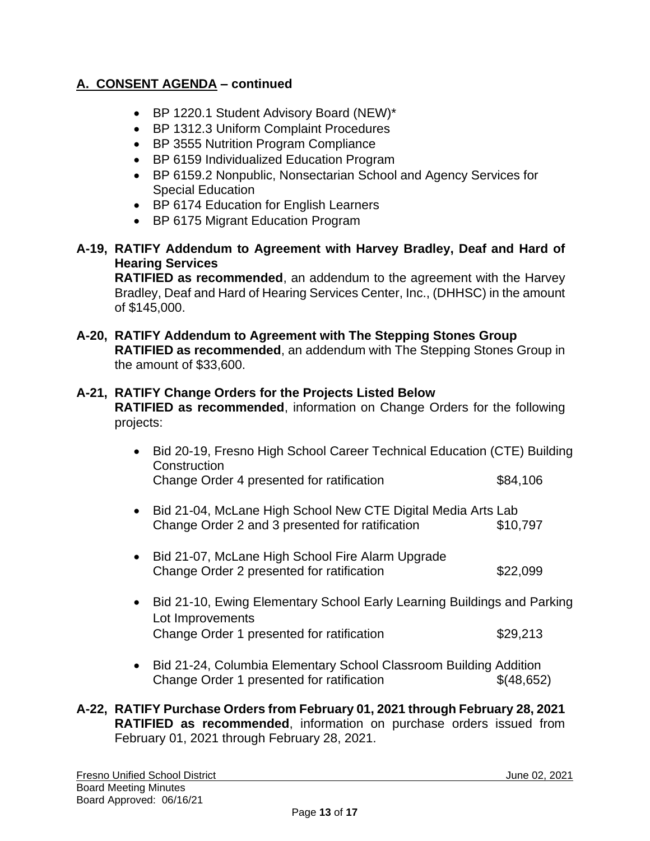- BP 1220.1 Student Advisory Board (NEW)\*
- BP 1312.3 Uniform Complaint Procedures
- BP 3555 Nutrition Program Compliance
- BP 6159 Individualized Education Program
- BP 6159.2 Nonpublic, Nonsectarian School and Agency Services for Special Education
- BP 6174 Education for English Learners
- BP 6175 Migrant Education Program
- **A-19, RATIFY Addendum to Agreement with Harvey Bradley, Deaf and Hard of Hearing Services**

**RATIFIED as recommended**, an addendum to the agreement with the Harvey Bradley, Deaf and Hard of Hearing Services Center, Inc., (DHHSC) in the amount of \$145,000.

**A-20, RATIFY Addendum to Agreement with The Stepping Stones Group RATIFIED as recommended**, an addendum with The Stepping Stones Group in the amount of \$33,600.

## **A-21, RATIFY Change Orders for the Projects Listed Below**

**RATIFIED as recommended**, information on Change Orders for the following projects:

- Bid 20-19, Fresno High School Career Technical Education (CTE) Building **Construction** Change Order 4 presented for ratification \$84,106 • Bid 21-04, McLane High School New CTE Digital Media Arts Lab Change Order 2 and 3 presented for ratification \$10,797 • Bid 21-07, McLane High School Fire Alarm Upgrade Change Order 2 presented for ratification \$22,099 • Bid 21-10, Ewing Elementary School Early Learning Buildings and Parking Lot Improvements Change Order 1 presented for ratification  $$29,213$ • Bid 21-24, Columbia Elementary School Classroom Building Addition Change Order 1 presented for ratification  $\{(48,652)\}$
- **A-22, RATIFY Purchase Orders from February 01, 2021 through February 28, 2021 RATIFIED as recommended**, information on purchase orders issued from February 01, 2021 through February 28, 2021.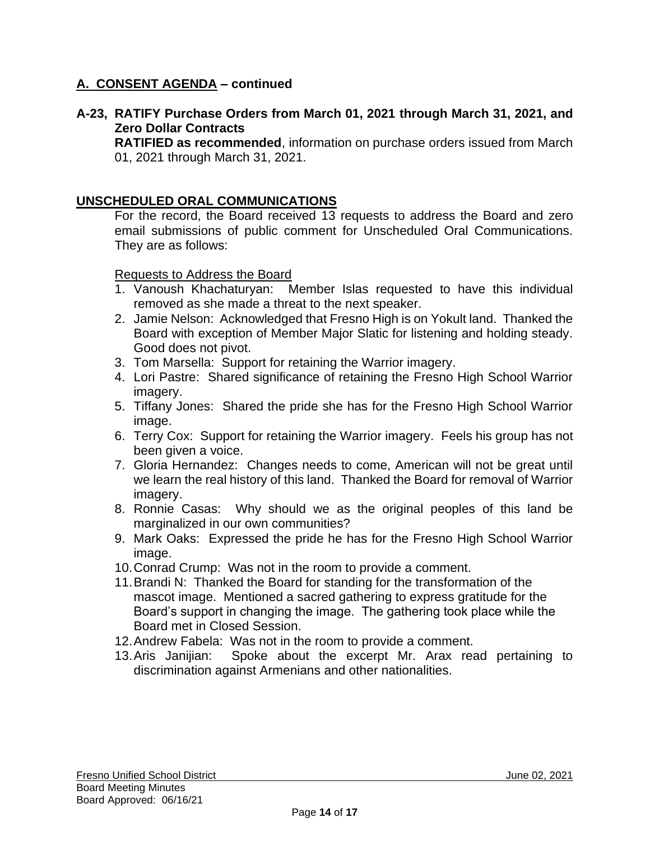## **A-23, RATIFY Purchase Orders from March 01, 2021 through March 31, 2021, and Zero Dollar Contracts**

**RATIFIED as recommended**, information on purchase orders issued from March 01, 2021 through March 31, 2021.

## **UNSCHEDULED ORAL COMMUNICATIONS**

For the record, the Board received 13 requests to address the Board and zero email submissions of public comment for Unscheduled Oral Communications. They are as follows:

Requests to Address the Board

- 1. Vanoush Khachaturyan: Member Islas requested to have this individual removed as she made a threat to the next speaker.
- 2. Jamie Nelson: Acknowledged that Fresno High is on Yokult land. Thanked the Board with exception of Member Major Slatic for listening and holding steady. Good does not pivot.
- 3. Tom Marsella: Support for retaining the Warrior imagery.
- 4. Lori Pastre: Shared significance of retaining the Fresno High School Warrior imagery.
- 5. Tiffany Jones: Shared the pride she has for the Fresno High School Warrior image.
- 6. Terry Cox: Support for retaining the Warrior imagery. Feels his group has not been given a voice.
- 7. Gloria Hernandez: Changes needs to come, American will not be great until we learn the real history of this land. Thanked the Board for removal of Warrior imagery.
- 8. Ronnie Casas: Why should we as the original peoples of this land be marginalized in our own communities?
- 9. Mark Oaks: Expressed the pride he has for the Fresno High School Warrior image.
- 10.Conrad Crump: Was not in the room to provide a comment.
- 11.Brandi N: Thanked the Board for standing for the transformation of the mascot image. Mentioned a sacred gathering to express gratitude for the Board's support in changing the image. The gathering took place while the Board met in Closed Session.
- 12.Andrew Fabela: Was not in the room to provide a comment.
- 13.Aris Janijian: Spoke about the excerpt Mr. Arax read pertaining to discrimination against Armenians and other nationalities.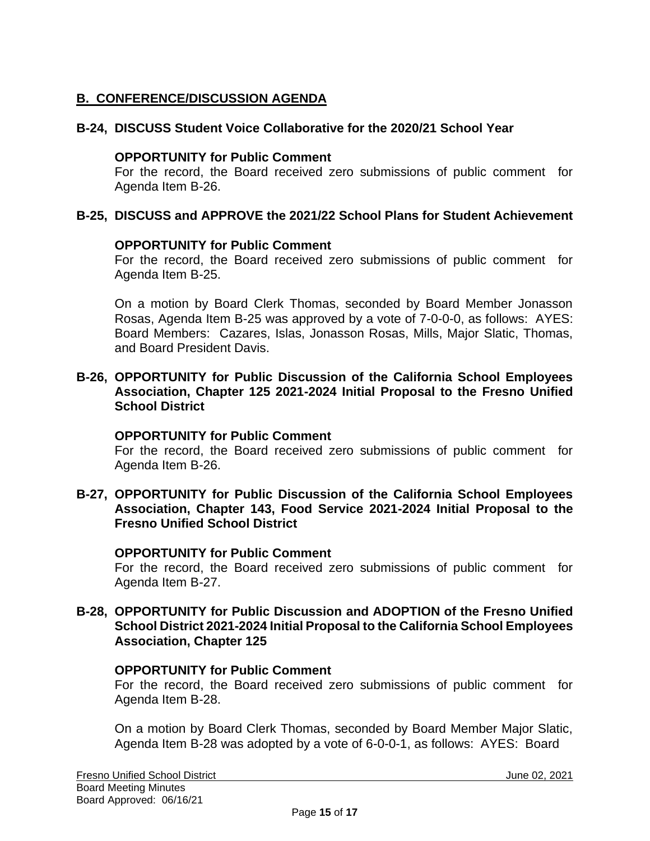# **B. CONFERENCE/DISCUSSION AGENDA**

## **B-24, DISCUSS Student Voice Collaborative for the 2020/21 School Year**

### **OPPORTUNITY for Public Comment**

For the record, the Board received zero submissions of public comment for Agenda Item B-26.

## **B-25, DISCUSS and APPROVE the 2021/22 School Plans for Student Achievement**

### **OPPORTUNITY for Public Comment**

For the record, the Board received zero submissions of public comment for Agenda Item B-25.

On a motion by Board Clerk Thomas, seconded by Board Member Jonasson Rosas, Agenda Item B-25 was approved by a vote of 7-0-0-0, as follows: AYES: Board Members: Cazares, Islas, Jonasson Rosas, Mills, Major Slatic, Thomas, and Board President Davis.

### **B-26, OPPORTUNITY for Public Discussion of the California School Employees Association, Chapter 125 2021-2024 Initial Proposal to the Fresno Unified School District**

#### **OPPORTUNITY for Public Comment**

For the record, the Board received zero submissions of public comment for Agenda Item B-26.

**B-27, OPPORTUNITY for Public Discussion of the California School Employees Association, Chapter 143, Food Service 2021-2024 Initial Proposal to the Fresno Unified School District**

## **OPPORTUNITY for Public Comment**

For the record, the Board received zero submissions of public comment for Agenda Item B-27.

### **B-28, OPPORTUNITY for Public Discussion and ADOPTION of the Fresno Unified School District 2021-2024 Initial Proposal to the California School Employees Association, Chapter 125**

#### **OPPORTUNITY for Public Comment**

For the record, the Board received zero submissions of public comment for Agenda Item B-28.

On a motion by Board Clerk Thomas, seconded by Board Member Major Slatic, Agenda Item B-28 was adopted by a vote of 6-0-0-1, as follows: AYES: Board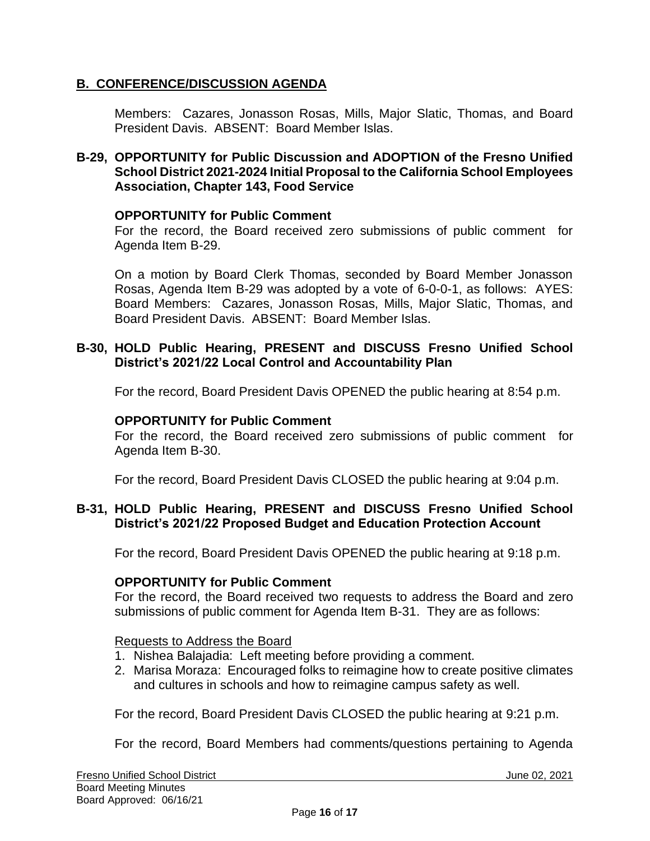## **B. CONFERENCE/DISCUSSION AGENDA**

Members: Cazares, Jonasson Rosas, Mills, Major Slatic, Thomas, and Board President Davis. ABSENT: Board Member Islas.

## **B-29, OPPORTUNITY for Public Discussion and ADOPTION of the Fresno Unified School District 2021-2024 Initial Proposal to the California School Employees Association, Chapter 143, Food Service**

### **OPPORTUNITY for Public Comment**

For the record, the Board received zero submissions of public comment for Agenda Item B-29.

On a motion by Board Clerk Thomas, seconded by Board Member Jonasson Rosas, Agenda Item B-29 was adopted by a vote of 6-0-0-1, as follows: AYES: Board Members: Cazares, Jonasson Rosas, Mills, Major Slatic, Thomas, and Board President Davis. ABSENT: Board Member Islas.

## **B-30, HOLD Public Hearing, PRESENT and DISCUSS Fresno Unified School District's 2021/22 Local Control and Accountability Plan**

For the record, Board President Davis OPENED the public hearing at 8:54 p.m.

#### **OPPORTUNITY for Public Comment**

For the record, the Board received zero submissions of public comment for Agenda Item B-30.

For the record, Board President Davis CLOSED the public hearing at 9:04 p.m.

## **B-31, HOLD Public Hearing, PRESENT and DISCUSS Fresno Unified School District's 2021/22 Proposed Budget and Education Protection Account**

For the record, Board President Davis OPENED the public hearing at 9:18 p.m.

#### **OPPORTUNITY for Public Comment**

For the record, the Board received two requests to address the Board and zero submissions of public comment for Agenda Item B-31. They are as follows:

#### Requests to Address the Board

- 1. Nishea Balajadia: Left meeting before providing a comment.
- 2. Marisa Moraza: Encouraged folks to reimagine how to create positive climates and cultures in schools and how to reimagine campus safety as well.

For the record, Board President Davis CLOSED the public hearing at 9:21 p.m.

For the record, Board Members had comments/questions pertaining to Agenda